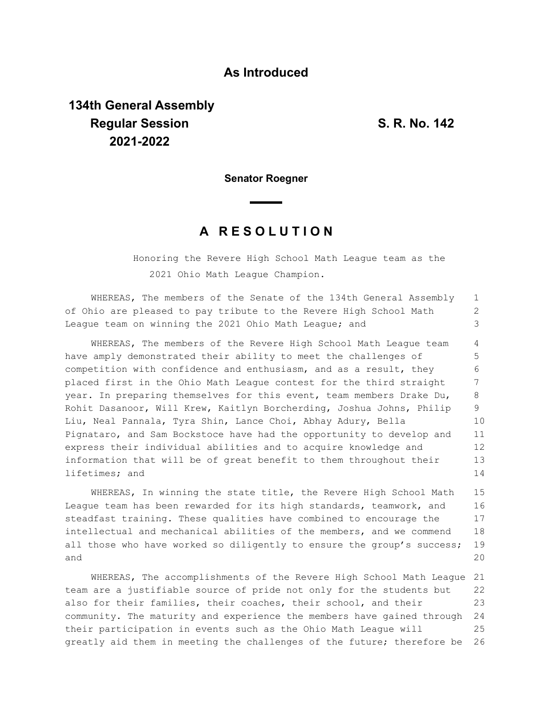## **As Introduced**

## **134th General Assembly Regular Session S. R. No. 142 2021-2022**

**Senator Roegner**

## **A R E S O L U T I O N**

Honoring the Revere High School Math League team as the 2021 Ohio Math League Champion.

WHEREAS, The members of the Senate of the 134th General Assembly of Ohio are pleased to pay tribute to the Revere High School Math League team on winning the 2021 Ohio Math League; and 1 2 3

WHEREAS, The members of the Revere High School Math League team have amply demonstrated their ability to meet the challenges of competition with confidence and enthusiasm, and as a result, they placed first in the Ohio Math League contest for the third straight year. In preparing themselves for this event, team members Drake Du, Rohit Dasanoor, Will Krew, Kaitlyn Borcherding, Joshua Johns, Philip Liu, Neal Pannala, Tyra Shin, Lance Choi, Abhay Adury, Bella Pignataro, and Sam Bockstoce have had the opportunity to develop and express their individual abilities and to acquire knowledge and information that will be of great benefit to them throughout their lifetimes; and 4 5 6 7 8 9 10 11 12 13 14

WHEREAS, In winning the state title, the Revere High School Math League team has been rewarded for its high standards, teamwork, and steadfast training. These qualities have combined to encourage the intellectual and mechanical abilities of the members, and we commend all those who have worked so diligently to ensure the group's success; and 15 16 17 18 19  $20$ 

WHEREAS, The accomplishments of the Revere High School Math League 21 team are a justifiable source of pride not only for the students but also for their families, their coaches, their school, and their community. The maturity and experience the members have gained through 24 their participation in events such as the Ohio Math League will greatly aid them in meeting the challenges of the future; therefore be 22 23 25 26